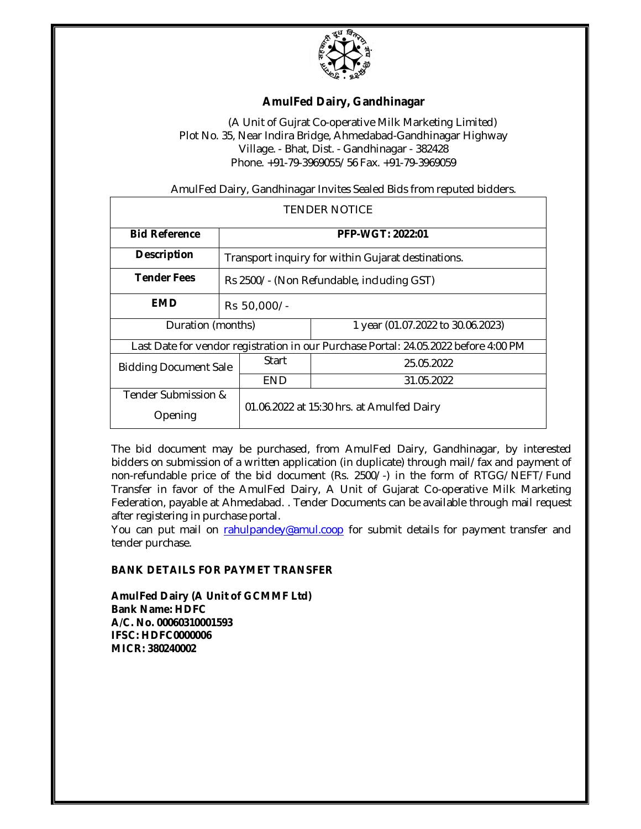

## **AmulFed Dairy, Gandhinagar**

(A Unit of Gujrat Co-operative Milk Marketing Limited) Plot No. 35, Near Indira Bridge, Ahmedabad-Gandhinagar Highway Village. - Bhat, Dist. - Gandhinagar - 382428 Phone. +91-79-3969055/56 Fax. +91-79-3969059

AmulFed Dairy, Gandhinagar Invites Sealed Bids from reputed bidders.

| <b>TENDER NOTICE</b>                                                                |                                                    |                                           |                                   |
|-------------------------------------------------------------------------------------|----------------------------------------------------|-------------------------------------------|-----------------------------------|
| <b>Bid Reference</b>                                                                | PFP-WGT: 2022:01                                   |                                           |                                   |
| <b>Description</b>                                                                  | Transport inquiry for within Gujarat destinations. |                                           |                                   |
| <b>Tender Fees</b>                                                                  | Rs 2500/- (Non Refundable, including GST)          |                                           |                                   |
| EMD                                                                                 | Rs 50,000/-                                        |                                           |                                   |
| Duration (months)                                                                   |                                                    |                                           | 1 year (01.07.2022 to 30.06.2023) |
| Last Date for vendor registration in our Purchase Portal: 24.05.2022 before 4:00 PM |                                                    |                                           |                                   |
| <b>Bidding Document Sale</b>                                                        |                                                    | Start                                     | 25.05.2022                        |
|                                                                                     |                                                    | END                                       | 31.05.2022                        |
| Tender Submission &                                                                 |                                                    | 01.06.2022 at 15:30 hrs. at Amulfed Dairy |                                   |
| Opening                                                                             |                                                    |                                           |                                   |

The bid document may be purchased, from AmulFed Dairy, Gandhinagar, by interested bidders on submission of a written application (in duplicate) through mail/fax and payment of non-refundable price of the bid document (Rs. 2500/-) in the form of RTGG/NEFT/Fund Transfer in favor of the AmulFed Dairy, A Unit of Gujarat Co-operative Milk Marketing Federation, payable at Ahmedabad. . Tender Documents can be available through mail request after registering in purchase portal.

You can put mail on rahulpandey@amul.coop for submit details for payment transfer and tender purchase.

## **BANK DETAILS FOR PAYMET TRANSFER**

**AmulFed Dairy (A Unit of GCMMF Ltd) Bank Name: HDFC A/C. No. 00060310001593 IFSC: HDFC0000006 MICR: 380240002**